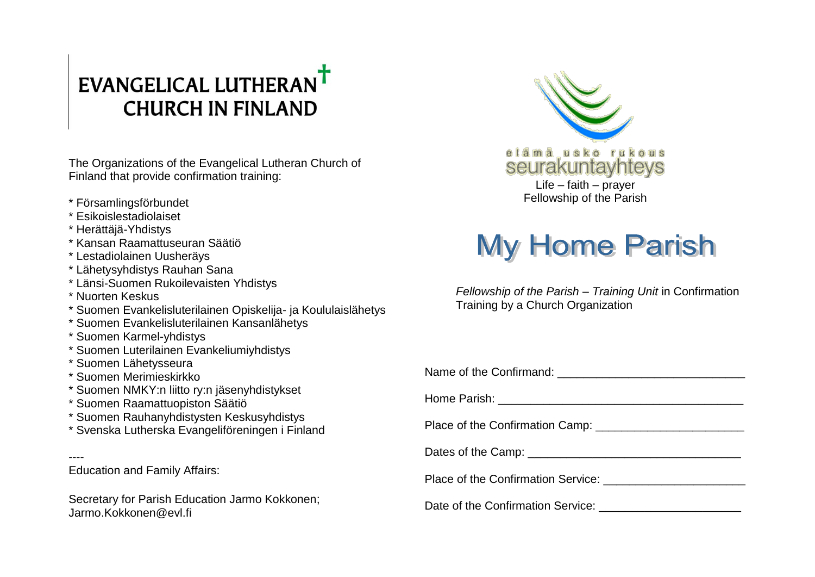## EVANGELICAL LUTHERANT **CHURCH IN FINLAND**

The Organizations of the Evangelical Lutheran Church of Finland that provide confirmation training:

- \* Församlingsförbundet
- \* Esikoislestadiolaiset
- \* Herättäjä-Yhdistys
- \* Kansan Raamattuseuran Säätiö
- \* Lestadiolainen Uusheräys
- \* Lähetysyhdistys Rauhan Sana
- \* Länsi-Suomen Rukoilevaisten Yhdistys
- \* Nuorten Keskus
- \* Suomen Evankelisluterilainen Opiskelija- ja Koululaislähetys
- \* Suomen Evankelisluterilainen Kansanlähetys
- \* Suomen Karmel-yhdistys
- \* Suomen Luterilainen Evankeliumiyhdistys
- \* Suomen Lähetysseura
- \* Suomen Merimieskirkko
- \* Suomen NMKY:n liitto ry:n jäsenyhdistykset
- \* Suomen Raamattuopiston Säätiö
- \* Suomen Rauhanyhdistysten Keskusyhdistys
- \* Svenska Lutherska Evangeliföreningen i Finland
- ---- Education and Family Affairs:

Secretary for Parish Education Jarmo Kokkonen; Jarmo.Kokkonen@evl.fi



## **My Home Parish**

*Fellowship of the Parish – Training Unit* in Confirmation Training by a Church Organization

| Dates of the Camp: ___________________________________ |
|--------------------------------------------------------|
|                                                        |
|                                                        |